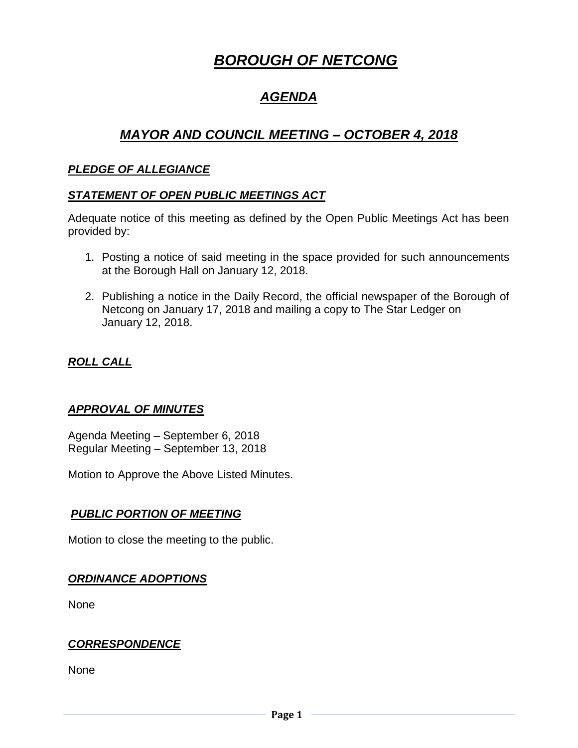# *BOROUGH OF NETCONG*

## *AGENDA*

## *MAYOR AND COUNCIL MEETING – OCTOBER 4, 2018*

#### *PLEDGE OF ALLEGIANCE*

#### *STATEMENT OF OPEN PUBLIC MEETINGS ACT*

Adequate notice of this meeting as defined by the Open Public Meetings Act has been provided by:

- 1. Posting a notice of said meeting in the space provided for such announcements at the Borough Hall on January 12, 2018.
- 2. Publishing a notice in the Daily Record, the official newspaper of the Borough of Netcong on January 17, 2018 and mailing a copy to The Star Ledger on January 12, 2018.

### *ROLL CALL*

#### *APPROVAL OF MINUTES*

Agenda Meeting – September 6, 2018 Regular Meeting – September 13, 2018

Motion to Approve the Above Listed Minutes.

#### *PUBLIC PORTION OF MEETING*

Motion to close the meeting to the public.

#### *ORDINANCE ADOPTIONS*

None

#### *CORRESPONDENCE*

None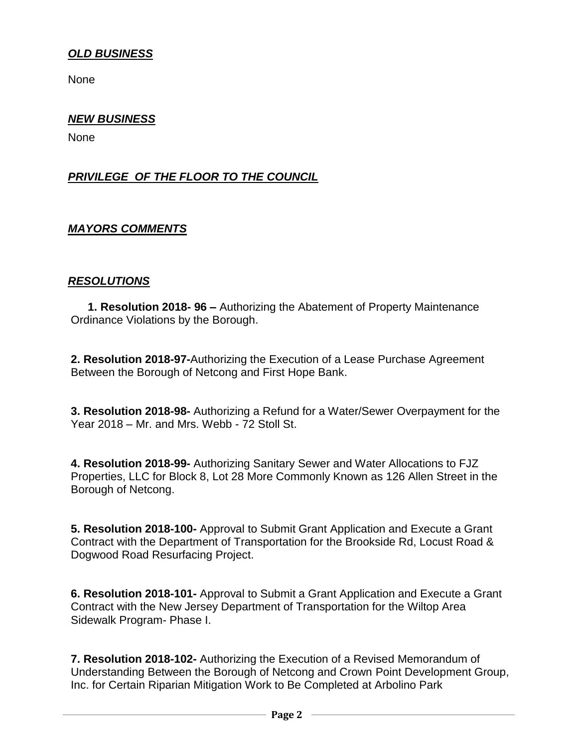#### *OLD BUSINESS*

None

#### *NEW BUSINESS*

None

#### *PRIVILEGE OF THE FLOOR TO THE COUNCIL*

#### *MAYORS COMMENTS*

#### *RESOLUTIONS*

**1. Resolution 2018- 96 –** Authorizing the Abatement of Property Maintenance Ordinance Violations by the Borough.

**2. Resolution 2018-97-**Authorizing the Execution of a Lease Purchase Agreement Between the Borough of Netcong and First Hope Bank.

**3. Resolution 2018-98-** Authorizing a Refund for a Water/Sewer Overpayment for the Year 2018 – Mr. and Mrs. Webb - 72 Stoll St.

**4. Resolution 2018-99-** Authorizing Sanitary Sewer and Water Allocations to FJZ Properties, LLC for Block 8, Lot 28 More Commonly Known as 126 Allen Street in the Borough of Netcong.

**5. Resolution 2018-100-** Approval to Submit Grant Application and Execute a Grant Contract with the Department of Transportation for the Brookside Rd, Locust Road & Dogwood Road Resurfacing Project.

**6. Resolution 2018-101-** Approval to Submit a Grant Application and Execute a Grant Contract with the New Jersey Department of Transportation for the Wiltop Area Sidewalk Program- Phase I.

**7. Resolution 2018-102-** Authorizing the Execution of a Revised Memorandum of Understanding Between the Borough of Netcong and Crown Point Development Group, Inc. for Certain Riparian Mitigation Work to Be Completed at Arbolino Park